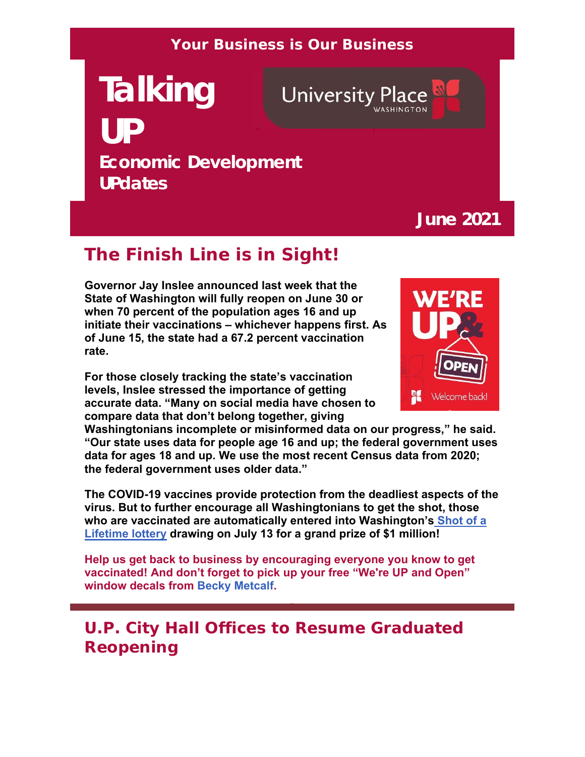#### **Your Business is Our Business**

# **Talking UP Economic Development UPdates**

**University Place** 

## **June 2021**

# **The Finish Line is in Sight!**

**Governor Jay Inslee announced last week that the State of Washington will fully reopen on June 30 or when 70 percent of the population ages 16 and up initiate their vaccinations – whichever happens first. As of June 15, the state had a 67.2 percent vaccination rate.** 

**For those closely tracking the state's vaccination levels, Inslee stressed the importance of getting accurate data. "Many on social media have chosen to compare data that don't belong together, giving** 



**Washingtonians incomplete or misinformed data on our progress," he said. "Our state uses data for people age 16 and up; the federal government uses data for ages 18 and up. We use the most recent Census data from 2020; the federal government uses older data."**

**The COVID-19 vaccines provide protection from the deadliest aspects of the virus. But to further encourage all Washingtonians to get the shot, those who are vaccinated are automatically entered into Washington's Shot of a Lifetime lottery drawing on July 13 for a grand prize of \$1 million!**

**Help us get back to business by encouraging everyone you know to get vaccinated! And don't forget to pick up your free "We're UP and Open" window decals from Becky Metcalf.**

# **U.P. City Hall Offices to Resume Graduated Reopening**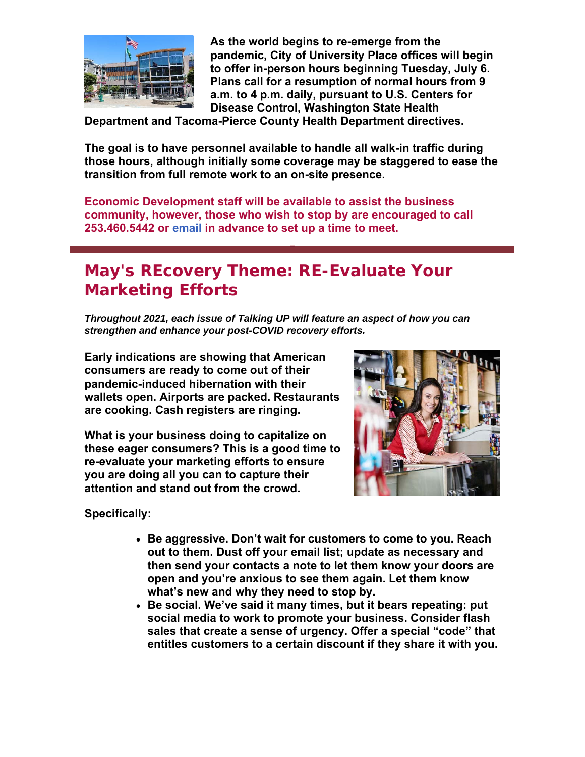

**As the world begins to re-emerge from the pandemic, City of University Place offices will begin to offer in-person hours beginning Tuesday, July 6. Plans call for a resumption of normal hours from 9 a.m. to 4 p.m. daily, pursuant to U.S. Centers for Disease Control, Washington State Health** 

**Department and Tacoma-Pierce County Health Department directives.**

**The goal is to have personnel available to handle all walk-in traffic during those hours, although initially some coverage may be staggered to ease the transition from full remote work to an on-site presence.** 

**Economic Development staff will be available to assist the business community, however, those who wish to stop by are encouraged to call 253.460.5442 or email in advance to set up a time to meet.**

# **May's REcovery Theme: RE-Evaluate Your Marketing Efforts**

*Throughout 2021, each issue of Talking UP will feature an aspect of how you can strengthen and enhance your post-COVID recovery efforts.* 

**Early indications are showing that American consumers are ready to come out of their pandemic-induced hibernation with their wallets open. Airports are packed. Restaurants are cooking. Cash registers are ringing.**

**What is your business doing to capitalize on these eager consumers? This is a good time to re-evaluate your marketing efforts to ensure you are doing all you can to capture their attention and stand out from the crowd.**



**Specifically:**

- **Be aggressive. Don't wait for customers to come to you. Reach out to them. Dust off your email list; update as necessary and then send your contacts a note to let them know your doors are open and you're anxious to see them again. Let them know what's new and why they need to stop by.**
- **Be social. We've said it many times, but it bears repeating: put social media to work to promote your business. Consider flash sales that create a sense of urgency. Offer a special "code" that entitles customers to a certain discount if they share it with you.**